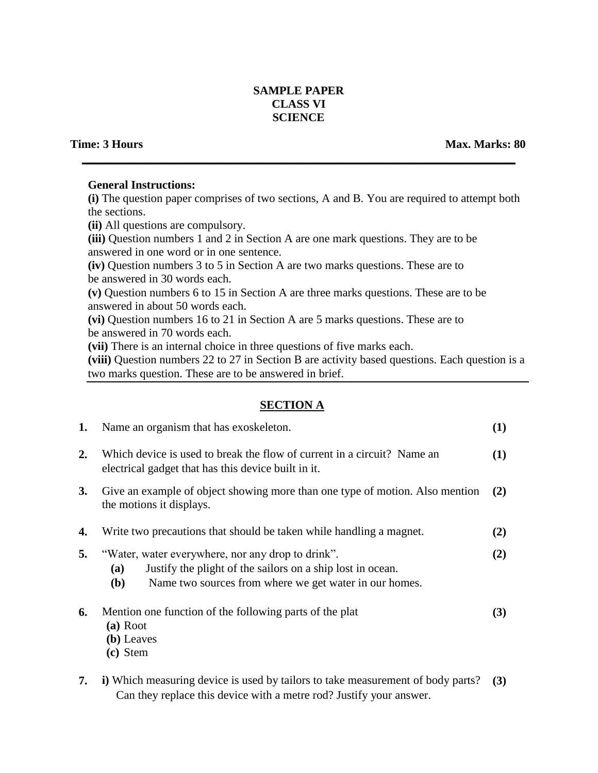## **SAMPLE PAPER CLASS VI SCIENCE**

**\_\_\_\_\_\_\_\_\_\_\_\_\_\_\_\_\_\_\_\_\_\_\_\_\_\_\_\_\_\_\_\_\_\_\_\_\_\_\_\_\_\_\_\_\_\_\_\_\_\_\_\_\_\_\_\_\_\_\_\_\_\_\_\_\_\_\_\_\_\_\_\_\_\_**

### **General Instructions:**

**(i)** The question paper comprises of two sections, A and B. You are required to attempt both the sections.

**(ii)** All questions are compulsory.

**(iii)** Question numbers 1 and 2 in Section A are one mark questions. They are to be answered in one word or in one sentence.

**(iv)** Question numbers 3 to 5 in Section A are two marks questions. These are to be answered in 30 words each.

**(v)** Question numbers 6 to 15 in Section A are three marks questions. These are to be answered in about 50 words each.

**(vi)** Question numbers 16 to 21 in Section A are 5 marks questions. These are to be answered in 70 words each.

**(vii)** There is an internal choice in three questions of five marks each.

**(viii)** Question numbers 22 to 27 in Section B are activity based questions. Each question is a two marks question. These are to be answered in brief.

# **SECTION A**

| 1.        | Name an organism that has exoskeleton.                                                                                                                                                                | (1) |
|-----------|-------------------------------------------------------------------------------------------------------------------------------------------------------------------------------------------------------|-----|
| <b>2.</b> | Which device is used to break the flow of current in a circuit? Name an<br>electrical gadget that has this device built in it.                                                                        | (1) |
| <b>3.</b> | Give an example of object showing more than one type of motion. Also mention<br>the motions it displays.                                                                                              | (2) |
| 4.        | Write two precautions that should be taken while handling a magnet.                                                                                                                                   | (2) |
| 5.        | "Water, water everywhere, nor any drop to drink".<br>Justify the plight of the sailors on a ship lost in ocean.<br><b>(a)</b><br>Name two sources from where we get water in our homes.<br><b>(b)</b> | (2) |
| 6.        | Mention one function of the following parts of the plat<br>(a) Root<br>(b) Leaves<br>(c) Stem                                                                                                         | (3) |

**7. i)** Which measuring device is used by tailors to take measurement of body parts? **(3)**Can they replace this device with a metre rod? Justify your answer.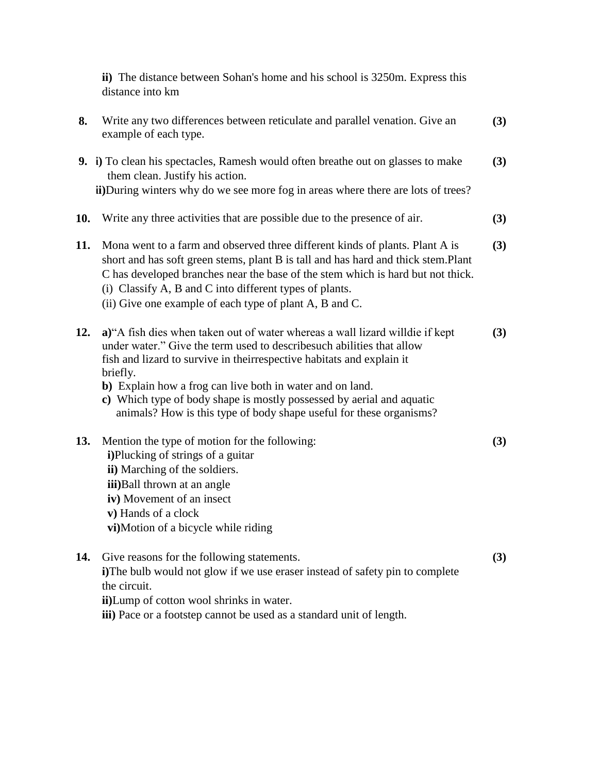**ii)** The distance between Sohan's home and his school is 3250m. Express this distance into km

| 8.  | Write any two differences between reticulate and parallel venation. Give an<br>example of each type.                                                                                                                                                                                                                                                                                                                                                      | (3) |
|-----|-----------------------------------------------------------------------------------------------------------------------------------------------------------------------------------------------------------------------------------------------------------------------------------------------------------------------------------------------------------------------------------------------------------------------------------------------------------|-----|
|     | 9. i) To clean his spectacles, Ramesh would often breathe out on glasses to make<br>them clean. Justify his action.<br>ii)During winters why do we see more fog in areas where there are lots of trees?                                                                                                                                                                                                                                                   | (3) |
| 10. | Write any three activities that are possible due to the presence of air.                                                                                                                                                                                                                                                                                                                                                                                  | (3) |
| 11. | Mona went to a farm and observed three different kinds of plants. Plant A is<br>short and has soft green stems, plant B is tall and has hard and thick stem.Plant<br>C has developed branches near the base of the stem which is hard but not thick.<br>(i) Classify A, B and C into different types of plants.<br>(ii) Give one example of each type of plant A, B and C.                                                                                | (3) |
| 12. | a) "A fish dies when taken out of water whereas a wall lizard willdie if kept<br>under water." Give the term used to describe such abilities that allow<br>fish and lizard to survive in theirrespective habitats and explain it<br>briefly.<br>b) Explain how a frog can live both in water and on land.<br>c) Which type of body shape is mostly possessed by aerial and aquatic<br>animals? How is this type of body shape useful for these organisms? | (3) |
| 13. | Mention the type of motion for the following:<br>i)Plucking of strings of a guitar<br>ii) Marching of the soldiers.<br>iii)Ball thrown at an angle<br>iv) Movement of an insect<br>v) Hands of a clock<br>vi)Motion of a bicycle while riding                                                                                                                                                                                                             | (3) |
| 14. | Give reasons for the following statements.<br>i)The bulb would not glow if we use eraser instead of safety pin to complete<br>the circuit.<br>ii)Lump of cotton wool shrinks in water.<br>iii) Pace or a footstep cannot be used as a standard unit of length.                                                                                                                                                                                            | (3) |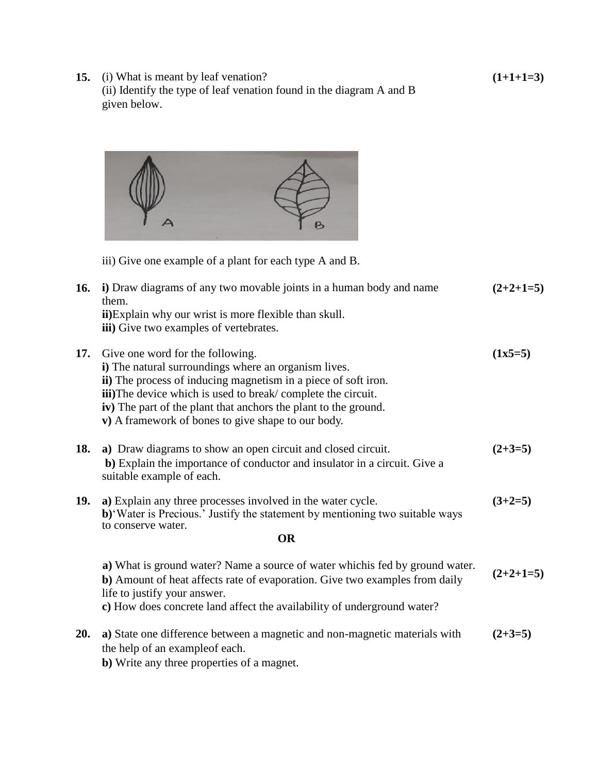**15.** (i) What is meant by leaf venation? (ii) Identify the type of leaf venation found in the diagram A and B given below.



iii) Give one example of a plant for each type A and B.

| 16. | i) Draw diagrams of any two movable joints in a human body and name<br>them.                                                                                                                                                                                                                                                                               | $(2+2+1=5)$ |
|-----|------------------------------------------------------------------------------------------------------------------------------------------------------------------------------------------------------------------------------------------------------------------------------------------------------------------------------------------------------------|-------------|
|     | ii) Explain why our wrist is more flexible than skull.<br>iii) Give two examples of vertebrates.                                                                                                                                                                                                                                                           |             |
| 17. | Give one word for the following.<br>i) The natural surroundings where an organism lives.<br>ii) The process of inducing magnetism in a piece of soft iron.<br><b>iii</b> )The device which is used to break/complete the circuit.<br>iv) The part of the plant that anchors the plant to the ground.<br>v) A framework of bones to give shape to our body. | $(1x5=5)$   |
| 18. | a) Draw diagrams to show an open circuit and closed circuit.<br>b) Explain the importance of conductor and insulator in a circuit. Give a<br>suitable example of each.                                                                                                                                                                                     | $(2+3=5)$   |
| 19. | a) Explain any three processes involved in the water cycle.<br>b)'Water is Precious.' Justify the statement by mentioning two suitable ways<br>to conserve water.                                                                                                                                                                                          | $(3+2=5)$   |
|     | <b>OR</b>                                                                                                                                                                                                                                                                                                                                                  |             |
|     | a) What is ground water? Name a source of water which is fed by ground water.<br>b) Amount of heat affects rate of evaporation. Give two examples from daily<br>life to justify your answer.<br>c) How does concrete land affect the availability of underground water?                                                                                    | $(2+2+1=5)$ |
| 20. | a) State one difference between a magnetic and non-magnetic materials with<br>the help of an example of each.                                                                                                                                                                                                                                              | $(2+3=5)$   |

**b**) Write any three properties of a magnet.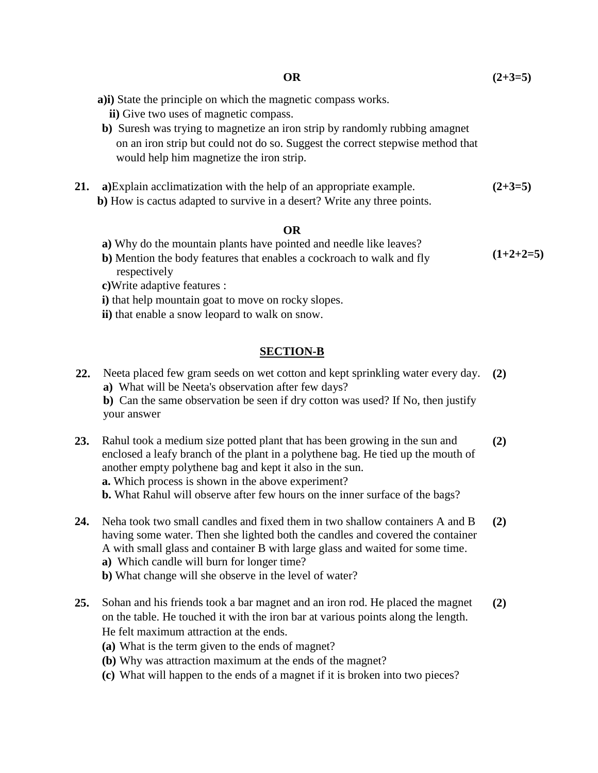**21. a)**Explain acclimatization with the help of an appropriate example. **b)** How is cactus adapted to survive in a desert? Write any three points. **(2+3=5)**

#### **OR**

- **a)** Why do the mountain plants have pointed and needle like leaves?
- **b)** Mention the body features that enables a cockroach to walk and fly respectively **(1+2+2=5)**
- **c)**Write adaptive features :
- **i)** that help mountain goat to move on rocky slopes.
- **ii)** that enable a snow leopard to walk on snow.

# **SECTION-B**

**22.** Neeta placed few gram seeds on wet cotton and kept sprinkling water every day. **(2) a)** What will be Neeta's observation after few days?

**b)** Can the same observation be seen if dry cotton was used? If No, then justify your answer

**23.** Rahul took a medium size potted plant that has been growing in the sun and enclosed a leafy branch of the plant in a polythene bag. He tied up the mouth of another empty polythene bag and kept it also in the sun. **a.** Which process is shown in the above experiment? **(2)**

**b.** What Rahul will observe after few hours on the inner surface of the bags?

- **24.** Neha took two small candles and fixed them in two shallow containers A and B having some water. Then she lighted both the candles and covered the container A with small glass and container B with large glass and waited for some time. **a)** Which candle will burn for longer time? **(2)**
	- **b)** What change will she observe in the level of water?
- **25.** Sohan and his friends took a bar magnet and an iron rod. He placed the magnet on the table. He touched it with the iron bar at various points along the length. He felt maximum attraction at the ends. **(2)**
	- **(a)** What is the term given to the ends of magnet?
	- **(b)** Why was attraction maximum at the ends of the magnet?
	- **(c)** What will happen to the ends of a magnet if it is broken into two pieces?